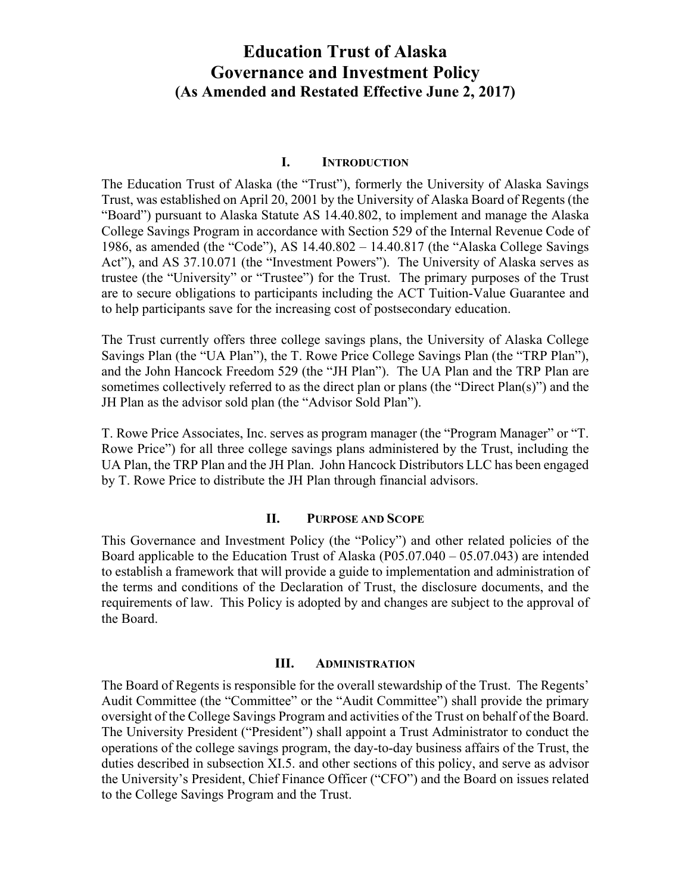# **Education Trust of Alaska Governance and Investment Policy (As Amended and Restated Effective June 2, 2017)**

#### **I. INTRODUCTION**

The Education Trust of Alaska (the "Trust"), formerly the University of Alaska Savings Trust, was established on April 20, 2001 by the University of Alaska Board of Regents (the "Board") pursuant to Alaska Statute AS 14.40.802, to implement and manage the Alaska College Savings Program in accordance with Section 529 of the Internal Revenue Code of 1986, as amended (the "Code"), AS 14.40.802 – 14.40.817 (the "Alaska College Savings Act"), and AS 37.10.071 (the "Investment Powers"). The University of Alaska serves as trustee (the "University" or "Trustee") for the Trust. The primary purposes of the Trust are to secure obligations to participants including the ACT Tuition-Value Guarantee and to help participants save for the increasing cost of postsecondary education.

The Trust currently offers three college savings plans, the University of Alaska College Savings Plan (the "UA Plan"), the T. Rowe Price College Savings Plan (the "TRP Plan"), and the John Hancock Freedom 529 (the "JH Plan"). The UA Plan and the TRP Plan are sometimes collectively referred to as the direct plan or plans (the "Direct Plan(s)") and the JH Plan as the advisor sold plan (the "Advisor Sold Plan").

T. Rowe Price Associates, Inc. serves as program manager (the "Program Manager" or "T. Rowe Price") for all three college savings plans administered by the Trust, including the UA Plan, the TRP Plan and the JH Plan. John Hancock Distributors LLC has been engaged by T. Rowe Price to distribute the JH Plan through financial advisors.

#### **II. PURPOSE AND SCOPE**

This Governance and Investment Policy (the "Policy") and other related policies of the Board applicable to the Education Trust of Alaska (P05.07.040 – 05.07.043) are intended to establish a framework that will provide a guide to implementation and administration of the terms and conditions of the Declaration of Trust, the disclosure documents, and the requirements of law. This Policy is adopted by and changes are subject to the approval of the Board.

#### **III. ADMINISTRATION**

The Board of Regents is responsible for the overall stewardship of the Trust. The Regents' Audit Committee (the "Committee" or the "Audit Committee") shall provide the primary oversight of the College Savings Program and activities of the Trust on behalf of the Board. The University President ("President") shall appoint a Trust Administrator to conduct the operations of the college savings program, the day-to-day business affairs of the Trust, the duties described in subsection XI.5. and other sections of this policy, and serve as advisor the University's President, Chief Finance Officer ("CFO") and the Board on issues related to the College Savings Program and the Trust.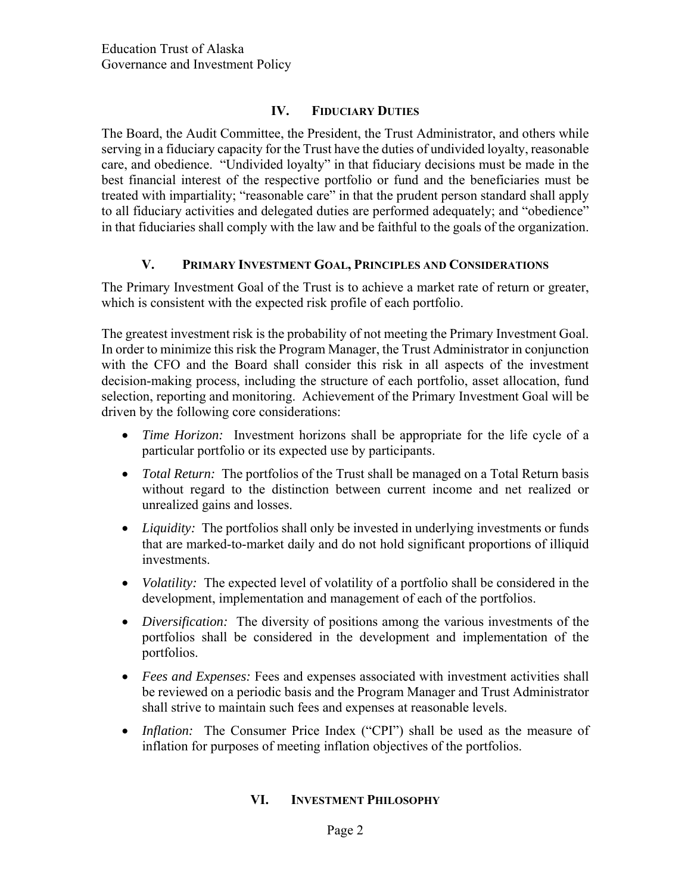# **IV. FIDUCIARY DUTIES**

The Board, the Audit Committee, the President, the Trust Administrator, and others while serving in a fiduciary capacity for the Trust have the duties of undivided loyalty, reasonable care, and obedience. "Undivided loyalty" in that fiduciary decisions must be made in the best financial interest of the respective portfolio or fund and the beneficiaries must be treated with impartiality; "reasonable care" in that the prudent person standard shall apply to all fiduciary activities and delegated duties are performed adequately; and "obedience" in that fiduciaries shall comply with the law and be faithful to the goals of the organization.

### **V. PRIMARY INVESTMENT GOAL, PRINCIPLES AND CONSIDERATIONS**

The Primary Investment Goal of the Trust is to achieve a market rate of return or greater, which is consistent with the expected risk profile of each portfolio.

The greatest investment risk is the probability of not meeting the Primary Investment Goal. In order to minimize this risk the Program Manager, the Trust Administrator in conjunction with the CFO and the Board shall consider this risk in all aspects of the investment decision-making process, including the structure of each portfolio, asset allocation, fund selection, reporting and monitoring. Achievement of the Primary Investment Goal will be driven by the following core considerations:

- *Time Horizon:* Investment horizons shall be appropriate for the life cycle of a particular portfolio or its expected use by participants.
- *Total Return:* The portfolios of the Trust shall be managed on a Total Return basis without regard to the distinction between current income and net realized or unrealized gains and losses.
- *Liquidity:* The portfolios shall only be invested in underlying investments or funds that are marked-to-market daily and do not hold significant proportions of illiquid investments.
- *Volatility:* The expected level of volatility of a portfolio shall be considered in the development, implementation and management of each of the portfolios.
- *Diversification:* The diversity of positions among the various investments of the portfolios shall be considered in the development and implementation of the portfolios.
- *Fees and Expenses:* Fees and expenses associated with investment activities shall be reviewed on a periodic basis and the Program Manager and Trust Administrator shall strive to maintain such fees and expenses at reasonable levels.
- *Inflation:* The Consumer Price Index ("CPI") shall be used as the measure of inflation for purposes of meeting inflation objectives of the portfolios.

# **VI. INVESTMENT PHILOSOPHY**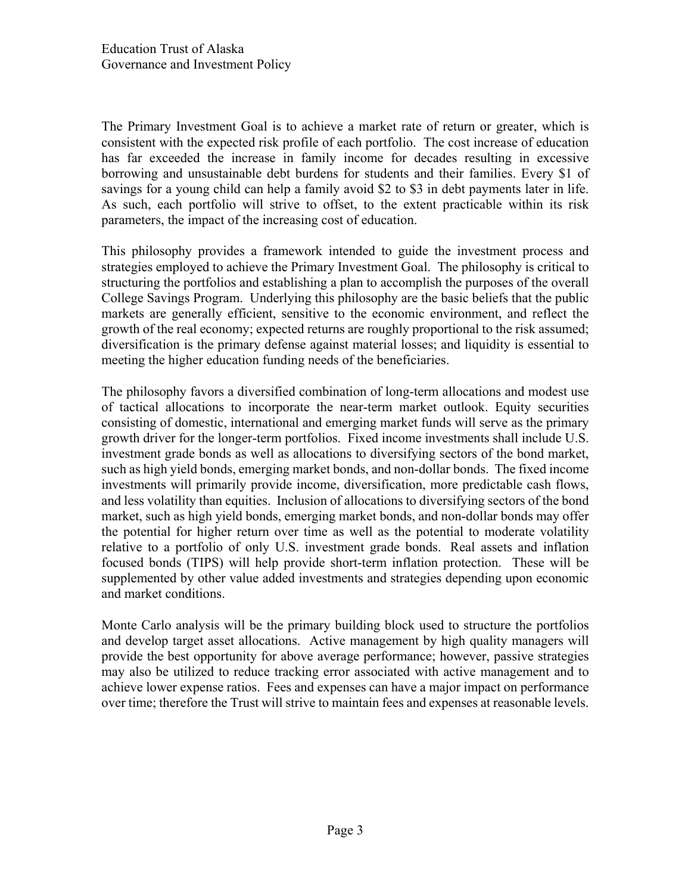The Primary Investment Goal is to achieve a market rate of return or greater, which is consistent with the expected risk profile of each portfolio. The cost increase of education has far exceeded the increase in family income for decades resulting in excessive borrowing and unsustainable debt burdens for students and their families. Every \$1 of savings for a young child can help a family avoid \$2 to \$3 in debt payments later in life. As such, each portfolio will strive to offset, to the extent practicable within its risk parameters, the impact of the increasing cost of education.

This philosophy provides a framework intended to guide the investment process and strategies employed to achieve the Primary Investment Goal. The philosophy is critical to structuring the portfolios and establishing a plan to accomplish the purposes of the overall College Savings Program. Underlying this philosophy are the basic beliefs that the public markets are generally efficient, sensitive to the economic environment, and reflect the growth of the real economy; expected returns are roughly proportional to the risk assumed; diversification is the primary defense against material losses; and liquidity is essential to meeting the higher education funding needs of the beneficiaries.

The philosophy favors a diversified combination of long-term allocations and modest use of tactical allocations to incorporate the near-term market outlook. Equity securities consisting of domestic, international and emerging market funds will serve as the primary growth driver for the longer-term portfolios. Fixed income investments shall include U.S. investment grade bonds as well as allocations to diversifying sectors of the bond market, such as high yield bonds, emerging market bonds, and non-dollar bonds. The fixed income investments will primarily provide income, diversification, more predictable cash flows, and less volatility than equities. Inclusion of allocations to diversifying sectors of the bond market, such as high yield bonds, emerging market bonds, and non-dollar bonds may offer the potential for higher return over time as well as the potential to moderate volatility relative to a portfolio of only U.S. investment grade bonds. Real assets and inflation focused bonds (TIPS) will help provide short-term inflation protection. These will be supplemented by other value added investments and strategies depending upon economic and market conditions.

Monte Carlo analysis will be the primary building block used to structure the portfolios and develop target asset allocations. Active management by high quality managers will provide the best opportunity for above average performance; however, passive strategies may also be utilized to reduce tracking error associated with active management and to achieve lower expense ratios. Fees and expenses can have a major impact on performance over time; therefore the Trust will strive to maintain fees and expenses at reasonable levels.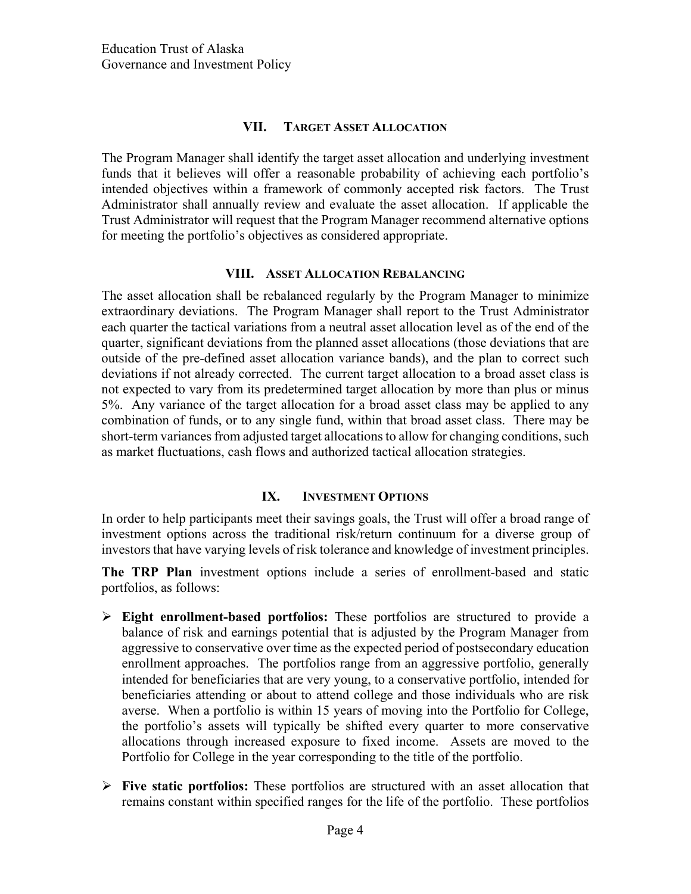#### **VII. TARGET ASSET ALLOCATION**

The Program Manager shall identify the target asset allocation and underlying investment funds that it believes will offer a reasonable probability of achieving each portfolio's intended objectives within a framework of commonly accepted risk factors. The Trust Administrator shall annually review and evaluate the asset allocation. If applicable the Trust Administrator will request that the Program Manager recommend alternative options for meeting the portfolio's objectives as considered appropriate.

#### **VIII. ASSET ALLOCATION REBALANCING**

The asset allocation shall be rebalanced regularly by the Program Manager to minimize extraordinary deviations. The Program Manager shall report to the Trust Administrator each quarter the tactical variations from a neutral asset allocation level as of the end of the quarter, significant deviations from the planned asset allocations (those deviations that are outside of the pre-defined asset allocation variance bands), and the plan to correct such deviations if not already corrected. The current target allocation to a broad asset class is not expected to vary from its predetermined target allocation by more than plus or minus 5%. Any variance of the target allocation for a broad asset class may be applied to any combination of funds, or to any single fund, within that broad asset class. There may be short-term variances from adjusted target allocations to allow for changing conditions, such as market fluctuations, cash flows and authorized tactical allocation strategies.

### **IX. INVESTMENT OPTIONS**

In order to help participants meet their savings goals, the Trust will offer a broad range of investment options across the traditional risk/return continuum for a diverse group of investors that have varying levels of risk tolerance and knowledge of investment principles.

**The TRP Plan** investment options include a series of enrollment-based and static portfolios, as follows:

- **Eight enrollment-based portfolios:** These portfolios are structured to provide a balance of risk and earnings potential that is adjusted by the Program Manager from aggressive to conservative over time as the expected period of postsecondary education enrollment approaches. The portfolios range from an aggressive portfolio, generally intended for beneficiaries that are very young, to a conservative portfolio, intended for beneficiaries attending or about to attend college and those individuals who are risk averse. When a portfolio is within 15 years of moving into the Portfolio for College, the portfolio's assets will typically be shifted every quarter to more conservative allocations through increased exposure to fixed income. Assets are moved to the Portfolio for College in the year corresponding to the title of the portfolio.
- $\triangleright$  Five static portfolios: These portfolios are structured with an asset allocation that remains constant within specified ranges for the life of the portfolio. These portfolios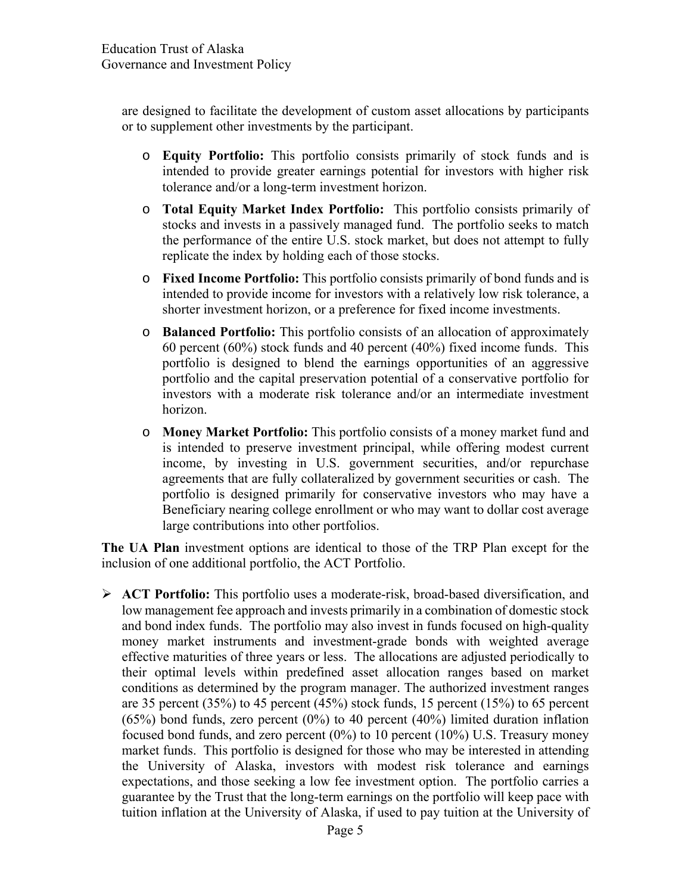are designed to facilitate the development of custom asset allocations by participants or to supplement other investments by the participant.

- o **Equity Portfolio:** This portfolio consists primarily of stock funds and is intended to provide greater earnings potential for investors with higher risk tolerance and/or a long-term investment horizon.
- o **Total Equity Market Index Portfolio:** This portfolio consists primarily of stocks and invests in a passively managed fund. The portfolio seeks to match the performance of the entire U.S. stock market, but does not attempt to fully replicate the index by holding each of those stocks.
- o **Fixed Income Portfolio:** This portfolio consists primarily of bond funds and is intended to provide income for investors with a relatively low risk tolerance, a shorter investment horizon, or a preference for fixed income investments.
- o **Balanced Portfolio:** This portfolio consists of an allocation of approximately 60 percent (60%) stock funds and 40 percent (40%) fixed income funds. This portfolio is designed to blend the earnings opportunities of an aggressive portfolio and the capital preservation potential of a conservative portfolio for investors with a moderate risk tolerance and/or an intermediate investment horizon.
- o **Money Market Portfolio:** This portfolio consists of a money market fund and is intended to preserve investment principal, while offering modest current income, by investing in U.S. government securities, and/or repurchase agreements that are fully collateralized by government securities or cash. The portfolio is designed primarily for conservative investors who may have a Beneficiary nearing college enrollment or who may want to dollar cost average large contributions into other portfolios.

**The UA Plan** investment options are identical to those of the TRP Plan except for the inclusion of one additional portfolio, the ACT Portfolio.

 **ACT Portfolio:** This portfolio uses a moderate-risk, broad-based diversification, and low management fee approach and invests primarily in a combination of domestic stock and bond index funds. The portfolio may also invest in funds focused on high-quality money market instruments and investment-grade bonds with weighted average effective maturities of three years or less. The allocations are adjusted periodically to their optimal levels within predefined asset allocation ranges based on market conditions as determined by the program manager. The authorized investment ranges are 35 percent (35%) to 45 percent (45%) stock funds, 15 percent (15%) to 65 percent (65%) bond funds, zero percent (0%) to 40 percent (40%) limited duration inflation focused bond funds, and zero percent (0%) to 10 percent (10%) U.S. Treasury money market funds. This portfolio is designed for those who may be interested in attending the University of Alaska, investors with modest risk tolerance and earnings expectations, and those seeking a low fee investment option. The portfolio carries a guarantee by the Trust that the long-term earnings on the portfolio will keep pace with tuition inflation at the University of Alaska, if used to pay tuition at the University of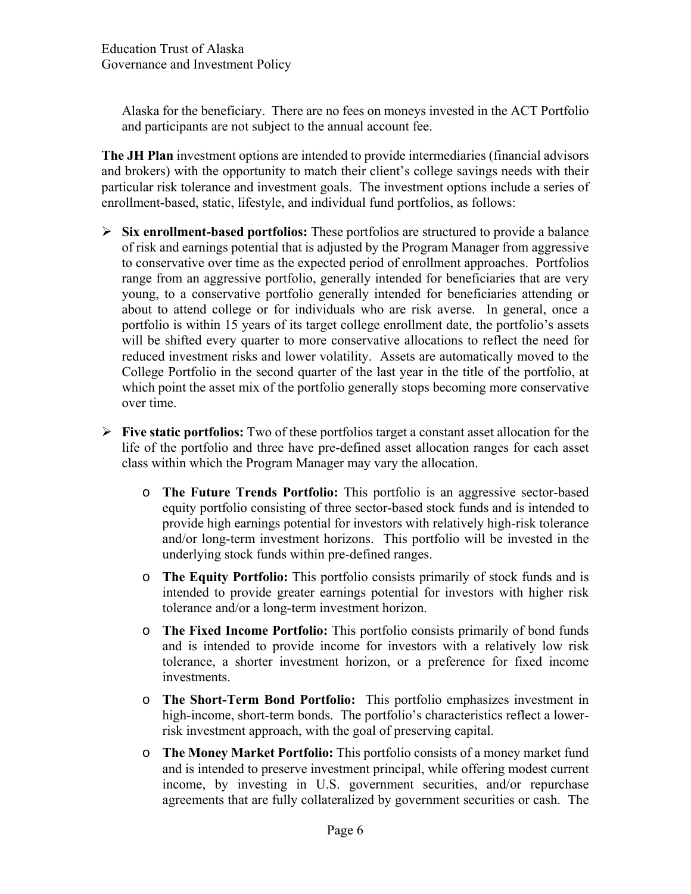Alaska for the beneficiary. There are no fees on moneys invested in the ACT Portfolio and participants are not subject to the annual account fee.

**The JH Plan** investment options are intended to provide intermediaries (financial advisors and brokers) with the opportunity to match their client's college savings needs with their particular risk tolerance and investment goals. The investment options include a series of enrollment-based, static, lifestyle, and individual fund portfolios, as follows:

- **Six enrollment-based portfolios:** These portfolios are structured to provide a balance of risk and earnings potential that is adjusted by the Program Manager from aggressive to conservative over time as the expected period of enrollment approaches. Portfolios range from an aggressive portfolio, generally intended for beneficiaries that are very young, to a conservative portfolio generally intended for beneficiaries attending or about to attend college or for individuals who are risk averse. In general, once a portfolio is within 15 years of its target college enrollment date, the portfolio's assets will be shifted every quarter to more conservative allocations to reflect the need for reduced investment risks and lower volatility. Assets are automatically moved to the College Portfolio in the second quarter of the last year in the title of the portfolio, at which point the asset mix of the portfolio generally stops becoming more conservative over time.
- **Five static portfolios:** Two of these portfolios target a constant asset allocation for the life of the portfolio and three have pre-defined asset allocation ranges for each asset class within which the Program Manager may vary the allocation.
	- o **The Future Trends Portfolio:** This portfolio is an aggressive sector-based equity portfolio consisting of three sector-based stock funds and is intended to provide high earnings potential for investors with relatively high-risk tolerance and/or long-term investment horizons. This portfolio will be invested in the underlying stock funds within pre-defined ranges.
	- o **The Equity Portfolio:** This portfolio consists primarily of stock funds and is intended to provide greater earnings potential for investors with higher risk tolerance and/or a long-term investment horizon.
	- o **The Fixed Income Portfolio:** This portfolio consists primarily of bond funds and is intended to provide income for investors with a relatively low risk tolerance, a shorter investment horizon, or a preference for fixed income investments.
	- o **The Short-Term Bond Portfolio:** This portfolio emphasizes investment in high-income, short-term bonds. The portfolio's characteristics reflect a lowerrisk investment approach, with the goal of preserving capital.
	- o **The Money Market Portfolio:** This portfolio consists of a money market fund and is intended to preserve investment principal, while offering modest current income, by investing in U.S. government securities, and/or repurchase agreements that are fully collateralized by government securities or cash. The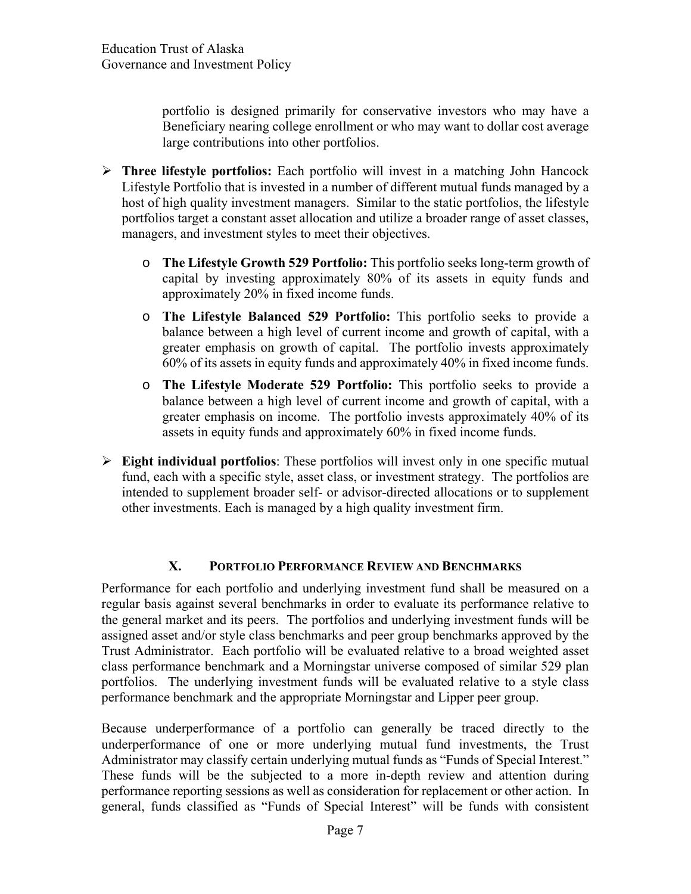portfolio is designed primarily for conservative investors who may have a Beneficiary nearing college enrollment or who may want to dollar cost average large contributions into other portfolios.

- **Three lifestyle portfolios:** Each portfolio will invest in a matching John Hancock Lifestyle Portfolio that is invested in a number of different mutual funds managed by a host of high quality investment managers. Similar to the static portfolios, the lifestyle portfolios target a constant asset allocation and utilize a broader range of asset classes, managers, and investment styles to meet their objectives.
	- o **The Lifestyle Growth 529 Portfolio:** This portfolio seeks long-term growth of capital by investing approximately 80% of its assets in equity funds and approximately 20% in fixed income funds.
	- o **The Lifestyle Balanced 529 Portfolio:** This portfolio seeks to provide a balance between a high level of current income and growth of capital, with a greater emphasis on growth of capital. The portfolio invests approximately 60% of its assets in equity funds and approximately 40% in fixed income funds.
	- o **The Lifestyle Moderate 529 Portfolio:** This portfolio seeks to provide a balance between a high level of current income and growth of capital, with a greater emphasis on income. The portfolio invests approximately 40% of its assets in equity funds and approximately 60% in fixed income funds.
- **Eight individual portfolios**: These portfolios will invest only in one specific mutual fund, each with a specific style, asset class, or investment strategy. The portfolios are intended to supplement broader self- or advisor-directed allocations or to supplement other investments. Each is managed by a high quality investment firm.

# **X. PORTFOLIO PERFORMANCE REVIEW AND BENCHMARKS**

Performance for each portfolio and underlying investment fund shall be measured on a regular basis against several benchmarks in order to evaluate its performance relative to the general market and its peers. The portfolios and underlying investment funds will be assigned asset and/or style class benchmarks and peer group benchmarks approved by the Trust Administrator. Each portfolio will be evaluated relative to a broad weighted asset class performance benchmark and a Morningstar universe composed of similar 529 plan portfolios. The underlying investment funds will be evaluated relative to a style class performance benchmark and the appropriate Morningstar and Lipper peer group.

Because underperformance of a portfolio can generally be traced directly to the underperformance of one or more underlying mutual fund investments, the Trust Administrator may classify certain underlying mutual funds as "Funds of Special Interest." These funds will be the subjected to a more in-depth review and attention during performance reporting sessions as well as consideration for replacement or other action. In general, funds classified as "Funds of Special Interest" will be funds with consistent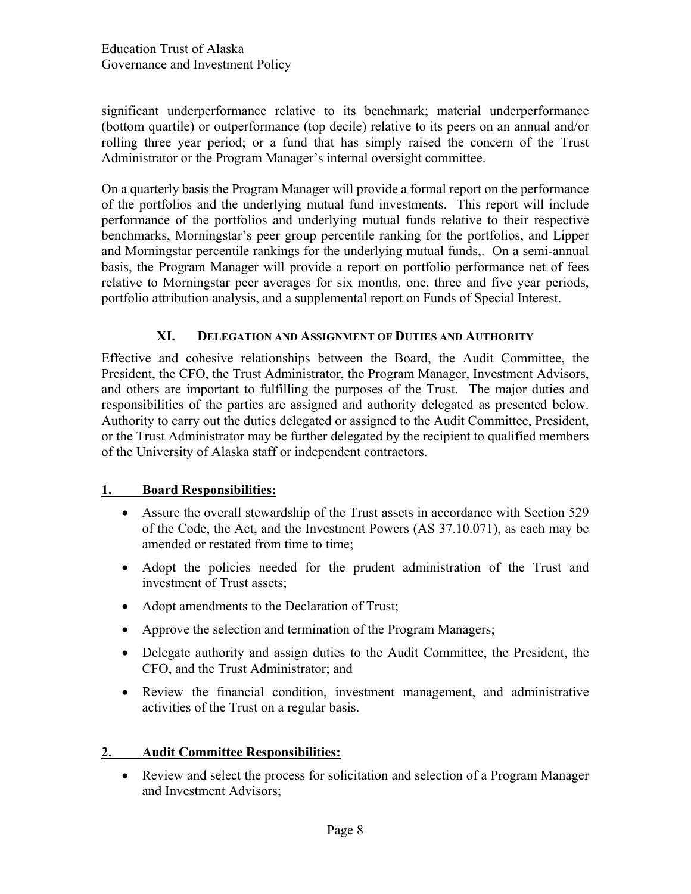significant underperformance relative to its benchmark; material underperformance (bottom quartile) or outperformance (top decile) relative to its peers on an annual and/or rolling three year period; or a fund that has simply raised the concern of the Trust Administrator or the Program Manager's internal oversight committee.

On a quarterly basis the Program Manager will provide a formal report on the performance of the portfolios and the underlying mutual fund investments. This report will include performance of the portfolios and underlying mutual funds relative to their respective benchmarks, Morningstar's peer group percentile ranking for the portfolios, and Lipper and Morningstar percentile rankings for the underlying mutual funds,. On a semi-annual basis, the Program Manager will provide a report on portfolio performance net of fees relative to Morningstar peer averages for six months, one, three and five year periods, portfolio attribution analysis, and a supplemental report on Funds of Special Interest.

# **XI. DELEGATION AND ASSIGNMENT OF DUTIES AND AUTHORITY**

Effective and cohesive relationships between the Board, the Audit Committee, the President, the CFO, the Trust Administrator, the Program Manager, Investment Advisors, and others are important to fulfilling the purposes of the Trust. The major duties and responsibilities of the parties are assigned and authority delegated as presented below. Authority to carry out the duties delegated or assigned to the Audit Committee, President, or the Trust Administrator may be further delegated by the recipient to qualified members of the University of Alaska staff or independent contractors.

# **1. Board Responsibilities:**

- Assure the overall stewardship of the Trust assets in accordance with Section 529 of the Code, the Act, and the Investment Powers (AS 37.10.071), as each may be amended or restated from time to time;
- Adopt the policies needed for the prudent administration of the Trust and investment of Trust assets;
- Adopt amendments to the Declaration of Trust;
- Approve the selection and termination of the Program Managers;
- Delegate authority and assign duties to the Audit Committee, the President, the CFO, and the Trust Administrator; and
- Review the financial condition, investment management, and administrative activities of the Trust on a regular basis.

# **2. Audit Committee Responsibilities:**

 Review and select the process for solicitation and selection of a Program Manager and Investment Advisors;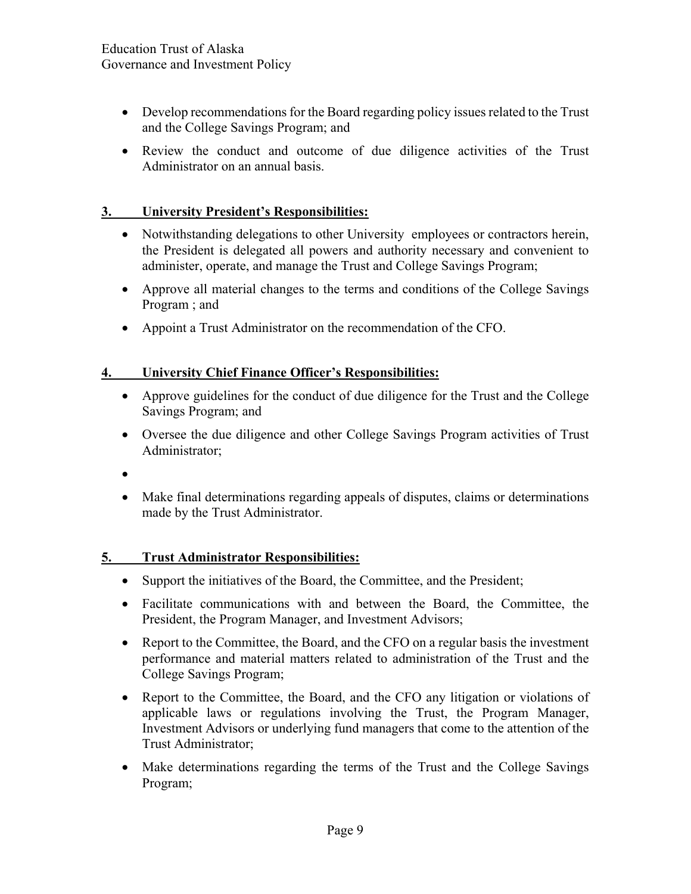- Develop recommendations for the Board regarding policy issues related to the Trust and the College Savings Program; and
- Review the conduct and outcome of due diligence activities of the Trust Administrator on an annual basis.

# **3. University President's Responsibilities:**

- Notwithstanding delegations to other University employees or contractors herein, the President is delegated all powers and authority necessary and convenient to administer, operate, and manage the Trust and College Savings Program;
- Approve all material changes to the terms and conditions of the College Savings Program ; and
- Appoint a Trust Administrator on the recommendation of the CFO.

# **4. University Chief Finance Officer's Responsibilities:**

- Approve guidelines for the conduct of due diligence for the Trust and the College Savings Program; and
- Oversee the due diligence and other College Savings Program activities of Trust Administrator;
- $\bullet$
- Make final determinations regarding appeals of disputes, claims or determinations made by the Trust Administrator.

### **5. Trust Administrator Responsibilities:**

- Support the initiatives of the Board, the Committee, and the President;
- Facilitate communications with and between the Board, the Committee, the President, the Program Manager, and Investment Advisors;
- Report to the Committee, the Board, and the CFO on a regular basis the investment performance and material matters related to administration of the Trust and the College Savings Program;
- Report to the Committee, the Board, and the CFO any litigation or violations of applicable laws or regulations involving the Trust, the Program Manager, Investment Advisors or underlying fund managers that come to the attention of the Trust Administrator;
- Make determinations regarding the terms of the Trust and the College Savings Program;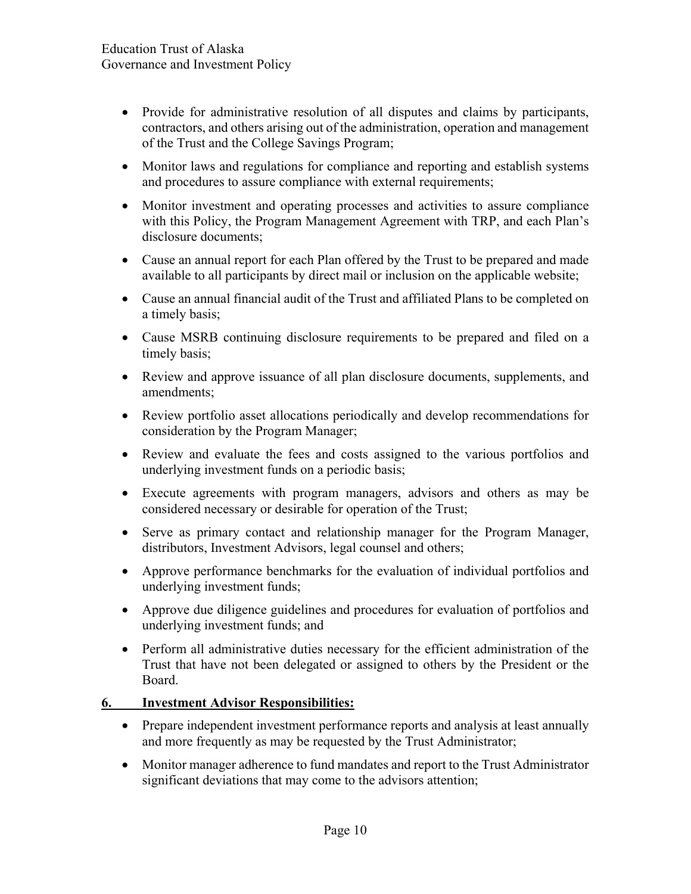- Provide for administrative resolution of all disputes and claims by participants, contractors, and others arising out of the administration, operation and management of the Trust and the College Savings Program;
- Monitor laws and regulations for compliance and reporting and establish systems and procedures to assure compliance with external requirements;
- Monitor investment and operating processes and activities to assure compliance with this Policy, the Program Management Agreement with TRP, and each Plan's disclosure documents;
- Cause an annual report for each Plan offered by the Trust to be prepared and made available to all participants by direct mail or inclusion on the applicable website;
- Cause an annual financial audit of the Trust and affiliated Plans to be completed on a timely basis;
- Cause MSRB continuing disclosure requirements to be prepared and filed on a timely basis;
- Review and approve issuance of all plan disclosure documents, supplements, and amendments;
- Review portfolio asset allocations periodically and develop recommendations for consideration by the Program Manager;
- Review and evaluate the fees and costs assigned to the various portfolios and underlying investment funds on a periodic basis;
- Execute agreements with program managers, advisors and others as may be considered necessary or desirable for operation of the Trust;
- Serve as primary contact and relationship manager for the Program Manager, distributors, Investment Advisors, legal counsel and others;
- Approve performance benchmarks for the evaluation of individual portfolios and underlying investment funds;
- Approve due diligence guidelines and procedures for evaluation of portfolios and underlying investment funds; and
- Perform all administrative duties necessary for the efficient administration of the Trust that have not been delegated or assigned to others by the President or the Board.

### **6. Investment Advisor Responsibilities:**

- Prepare independent investment performance reports and analysis at least annually and more frequently as may be requested by the Trust Administrator;
- Monitor manager adherence to fund mandates and report to the Trust Administrator significant deviations that may come to the advisors attention;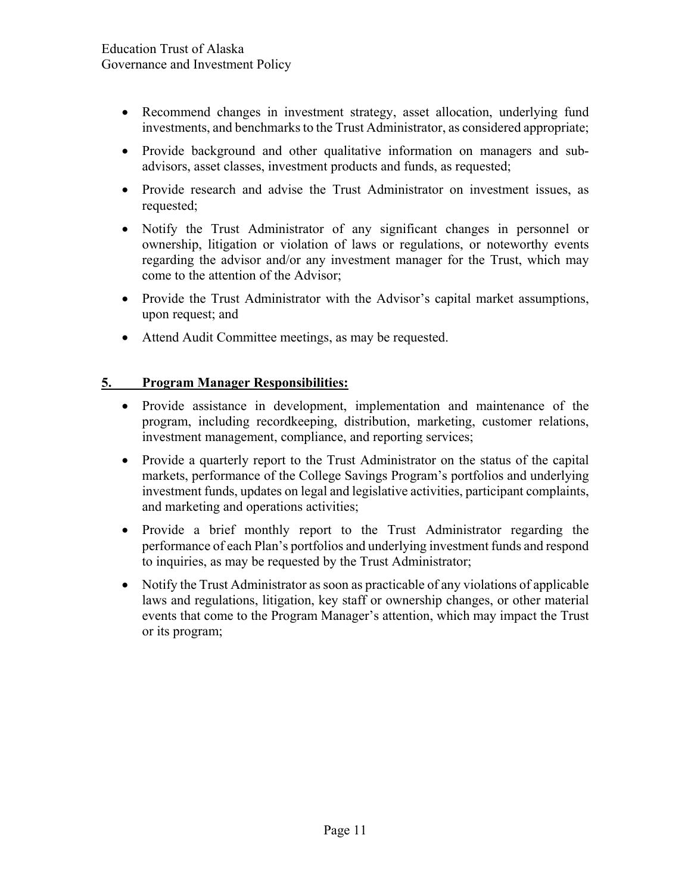- Recommend changes in investment strategy, asset allocation, underlying fund investments, and benchmarks to the Trust Administrator, as considered appropriate;
- Provide background and other qualitative information on managers and subadvisors, asset classes, investment products and funds, as requested;
- Provide research and advise the Trust Administrator on investment issues, as requested;
- Notify the Trust Administrator of any significant changes in personnel or ownership, litigation or violation of laws or regulations, or noteworthy events regarding the advisor and/or any investment manager for the Trust, which may come to the attention of the Advisor;
- Provide the Trust Administrator with the Advisor's capital market assumptions, upon request; and
- Attend Audit Committee meetings, as may be requested.

# **5. Program Manager Responsibilities:**

- Provide assistance in development, implementation and maintenance of the program, including recordkeeping, distribution, marketing, customer relations, investment management, compliance, and reporting services;
- Provide a quarterly report to the Trust Administrator on the status of the capital markets, performance of the College Savings Program's portfolios and underlying investment funds, updates on legal and legislative activities, participant complaints, and marketing and operations activities;
- Provide a brief monthly report to the Trust Administrator regarding the performance of each Plan's portfolios and underlying investment funds and respond to inquiries, as may be requested by the Trust Administrator;
- Notify the Trust Administrator as soon as practicable of any violations of applicable laws and regulations, litigation, key staff or ownership changes, or other material events that come to the Program Manager's attention, which may impact the Trust or its program;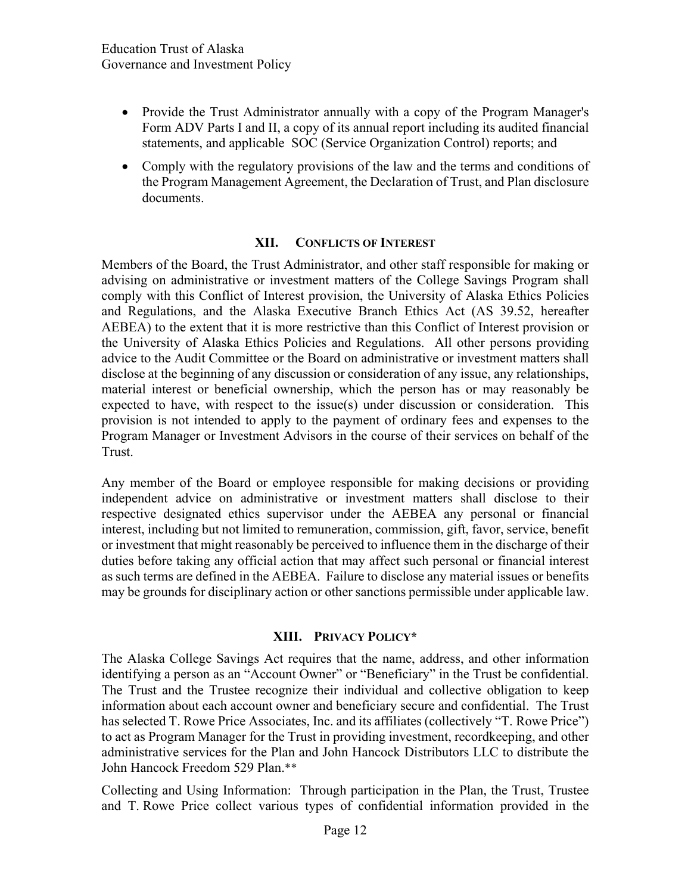- Provide the Trust Administrator annually with a copy of the Program Manager's Form ADV Parts I and II, a copy of its annual report including its audited financial statements, and applicable SOC (Service Organization Control) reports; and
- Comply with the regulatory provisions of the law and the terms and conditions of the Program Management Agreement, the Declaration of Trust, and Plan disclosure documents.

#### **XII. CONFLICTS OF INTEREST**

Members of the Board, the Trust Administrator, and other staff responsible for making or advising on administrative or investment matters of the College Savings Program shall comply with this Conflict of Interest provision, the University of Alaska Ethics Policies and Regulations, and the Alaska Executive Branch Ethics Act (AS 39.52, hereafter AEBEA) to the extent that it is more restrictive than this Conflict of Interest provision or the University of Alaska Ethics Policies and Regulations. All other persons providing advice to the Audit Committee or the Board on administrative or investment matters shall disclose at the beginning of any discussion or consideration of any issue, any relationships, material interest or beneficial ownership, which the person has or may reasonably be expected to have, with respect to the issue(s) under discussion or consideration. This provision is not intended to apply to the payment of ordinary fees and expenses to the Program Manager or Investment Advisors in the course of their services on behalf of the Trust.

Any member of the Board or employee responsible for making decisions or providing independent advice on administrative or investment matters shall disclose to their respective designated ethics supervisor under the AEBEA any personal or financial interest, including but not limited to remuneration, commission, gift, favor, service, benefit or investment that might reasonably be perceived to influence them in the discharge of their duties before taking any official action that may affect such personal or financial interest as such terms are defined in the AEBEA. Failure to disclose any material issues or benefits may be grounds for disciplinary action or other sanctions permissible under applicable law.

#### **XIII. PRIVACY POLICY\***

The Alaska College Savings Act requires that the name, address, and other information identifying a person as an "Account Owner" or "Beneficiary" in the Trust be confidential. The Trust and the Trustee recognize their individual and collective obligation to keep information about each account owner and beneficiary secure and confidential. The Trust has selected T. Rowe Price Associates, Inc. and its affiliates (collectively "T. Rowe Price") to act as Program Manager for the Trust in providing investment, recordkeeping, and other administrative services for the Plan and John Hancock Distributors LLC to distribute the John Hancock Freedom 529 Plan.\*\*

Collecting and Using Information: Through participation in the Plan, the Trust, Trustee and T. Rowe Price collect various types of confidential information provided in the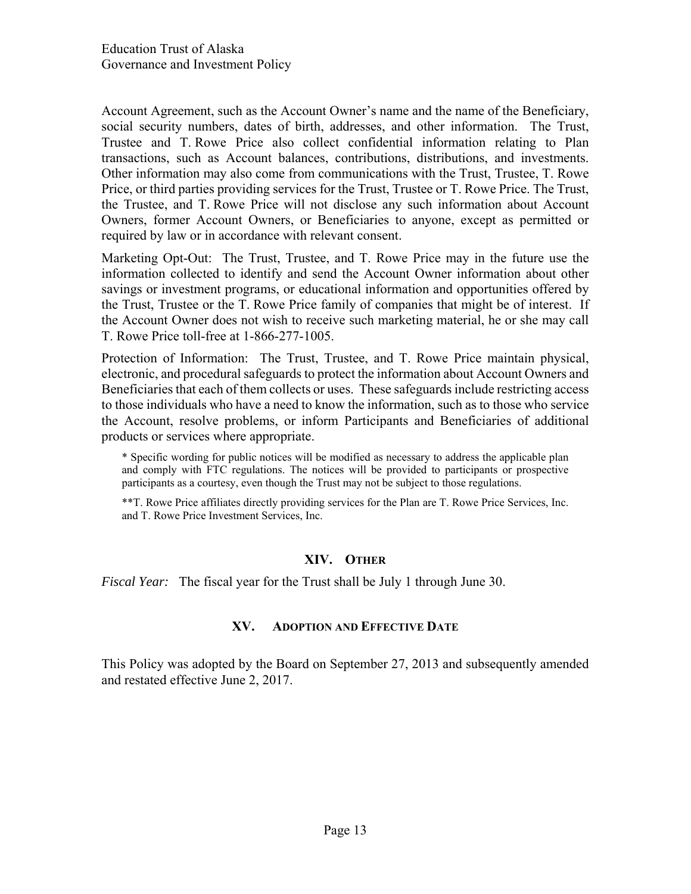Account Agreement, such as the Account Owner's name and the name of the Beneficiary, social security numbers, dates of birth, addresses, and other information. The Trust, Trustee and T. Rowe Price also collect confidential information relating to Plan transactions, such as Account balances, contributions, distributions, and investments. Other information may also come from communications with the Trust, Trustee, T. Rowe Price, or third parties providing services for the Trust, Trustee or T. Rowe Price. The Trust, the Trustee, and T. Rowe Price will not disclose any such information about Account Owners, former Account Owners, or Beneficiaries to anyone, except as permitted or required by law or in accordance with relevant consent.

Marketing Opt-Out: The Trust, Trustee, and T. Rowe Price may in the future use the information collected to identify and send the Account Owner information about other savings or investment programs, or educational information and opportunities offered by the Trust, Trustee or the T. Rowe Price family of companies that might be of interest. If the Account Owner does not wish to receive such marketing material, he or she may call T. Rowe Price toll-free at 1-866-277-1005.

Protection of Information: The Trust, Trustee, and T. Rowe Price maintain physical, electronic, and procedural safeguards to protect the information about Account Owners and Beneficiaries that each of them collects or uses. These safeguards include restricting access to those individuals who have a need to know the information, such as to those who service the Account, resolve problems, or inform Participants and Beneficiaries of additional products or services where appropriate.

\* Specific wording for public notices will be modified as necessary to address the applicable plan and comply with FTC regulations. The notices will be provided to participants or prospective participants as a courtesy, even though the Trust may not be subject to those regulations.

\*\*T. Rowe Price affiliates directly providing services for the Plan are T. Rowe Price Services, Inc. and T. Rowe Price Investment Services, Inc.

### **XIV. OTHER**

*Fiscal Year:* The fiscal year for the Trust shall be July 1 through June 30.

#### **XV. ADOPTION AND EFFECTIVE DATE**

This Policy was adopted by the Board on September 27, 2013 and subsequently amended and restated effective June 2, 2017.